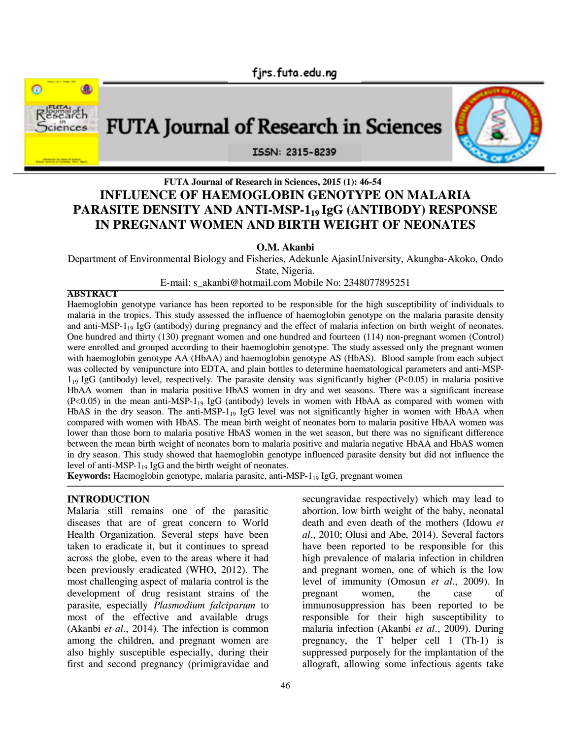



# **FUTA Journal of Research in Sciences, 2015 (1): 46-54 INFLUENCE OF HAEMOGLOBIN GENOTYPE ON MALARIA PARASITE DENSITY AND ANTI-MSP-119 IgG (ANTIBODY) RESPONSE IN PREGNANT WOMEN AND BIRTH WEIGHT OF NEONATES**

**O.M. Akanbi**

Department of Environmental Biology and Fisheries, Adekunle AjasinUniversity, Akungba-Akoko, Ondo State, Nigeria.

E-mail: s\_akanbi@hotmail.com Mobile No: 2348077895251

#### **ABSTRACT**

Haemoglobin genotype variance has been reported to be responsible for the high susceptibility of individuals to malaria in the tropics. This study assessed the influence of haemoglobin genotype on the malaria parasite density and anti-MSP- $1_{19}$  IgG (antibody) during pregnancy and the effect of malaria infection on birth weight of neonates. One hundred and thirty (130) pregnant women and one hundred and fourteen (114) non-pregnant women (Control) were enrolled and grouped according to their haemoglobin genotype. The study assessed only the pregnant women with haemoglobin genotype AA (HbAA) and haemoglobin genotype AS (HbAS). Blood sample from each subject was collected by venipuncture into EDTA, and plain bottles to determine haematological parameters and anti-MSP- $1_{19}$  IgG (antibody) level, respectively. The parasite density was significantly higher (P<0.05) in malaria positive HbAA women than in malaria positive HbAS women in dry and wet seasons. There was a significant increase  $(P<0.05)$  in the mean anti-MSP-1<sub>19</sub> IgG (antibody) levels in women with HbAA as compared with women with HbAS in the dry season. The anti-MSP-1 $_{19}$  IgG level was not significantly higher in women with HbAA when compared with women with HbAS. The mean birth weight of neonates born to malaria positive HbAA women was lower than those born to malaria positive HbAS women in the wet season, but there was no significant difference between the mean birth weight of neonates born to malaria positive and malaria negative HbAA and HbAS women in dry season. This study showed that haemoglobin genotype influenced parasite density but did not influence the level of anti-MSP-119 IgG and the birth weight of neonates.

**Keywords:** Haemoglobin genotype, malaria parasite, anti-MSP-1<sub>19</sub> IgG, pregnant women

#### **INTRODUCTION**

Malaria still remains one of the parasitic diseases that are of great concern to World Health Organization. Several steps have been taken to eradicate it, but it continues to spread across the globe, even to the areas where it had been previously eradicated (WHO, 2012). The most challenging aspect of malaria control is the development of drug resistant strains of the parasite, especially *Plasmodium falciparum* to most of the effective and available drugs (Akanbi *et al*., 2014). The infection is common among the children, and pregnant women are also highly susceptible especially, during their first and second pregnancy (primigravidae and

secungravidae respectively) which may lead to abortion, low birth weight of the baby, neonatal death and even death of the mothers (Idowu *et al*., 2010; Olusi and Abe, 2014). Several factors have been reported to be responsible for this high prevalence of malaria infection in children and pregnant women, one of which is the low level of immunity (Omosun *et al*., 2009). In pregnant women, the case of immunosuppression has been reported to be responsible for their high susceptibility to malaria infection (Akanbi *et al*., 2009). During pregnancy, the T helper cell 1 (Th-1) is suppressed purposely for the implantation of the allograft, allowing some infectious agents take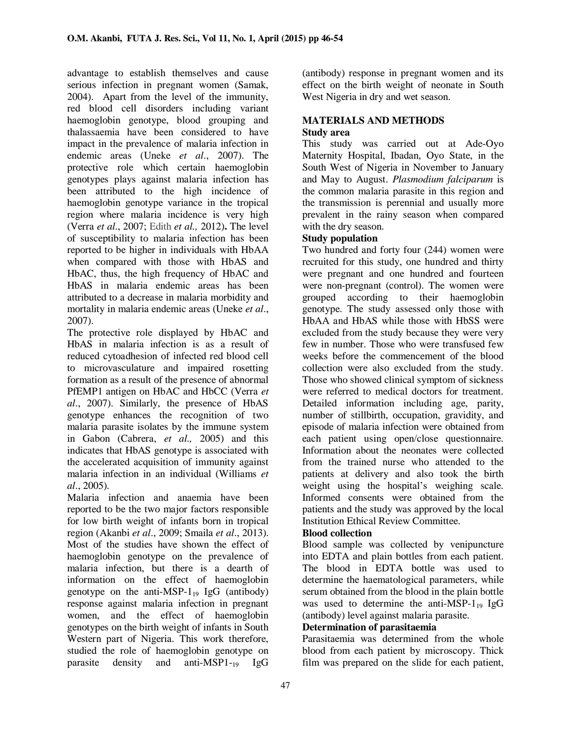advantage to establish themselves and cause serious infection in pregnant women (Samak, 2004). Apart from the level of the immunity, red blood cell disorders including variant haemoglobin genotype, blood grouping and thalassaemia have been considered to have impact in the prevalence of malaria infection in endemic areas (Uneke *et al*., 2007). The protective role which certain haemoglobin genotypes plays against malaria infection has been attributed to the high incidence of haemoglobin genotype variance in the tropical region where malaria incidence is very high (Verra *et al*., 2007; Edith *et al.,* 2012)**.** The level of susceptibility to malaria infection has been reported to be higher in individuals with HbAA when compared with those with HbAS and HbAC, thus, the high frequency of HbAC and HbAS in malaria endemic areas has been attributed to a decrease in malaria morbidity and mortality in malaria endemic areas (Uneke *et al*., 2007).

The protective role displayed by HbAC and HbAS in malaria infection is as a result of reduced cytoadhesion of infected red blood cell to microvasculature and impaired rosetting formation as a result of the presence of abnormal PfEMP1 antigen on HbAC and HbCC (Verra *et al*., 2007). Similarly, the presence of HbAS genotype enhances the recognition of two malaria parasite isolates by the immune system in Gabon (Cabrera, *et al.,* 2005) and this indicates that HbAS genotype is associated with the accelerated acquisition of immunity against malaria infection in an individual (Williams *et al*., 2005).

Malaria infection and anaemia have been reported to be the two major factors responsible for low birth weight of infants born in tropical region (Akanbi *et al*., 2009; Smaila *et al*., 2013). Most of the studies have shown the effect of haemoglobin genotype on the prevalence of malaria infection, but there is a dearth of information on the effect of haemoglobin genotype on the anti-MSP- $1_{19}$  IgG (antibody) response against malaria infection in pregnant women, and the effect of haemoglobin genotypes on the birth weight of infants in South Western part of Nigeria. This work therefore, studied the role of haemoglobin genotype on parasite density and anti-MSP1-<sup>19</sup> IgG

(antibody) response in pregnant women and its effect on the birth weight of neonate in South West Nigeria in dry and wet season.

### **MATERIALS AND METHODS Study area**

This study was carried out at Ade-Oyo Maternity Hospital, Ibadan, Oyo State, in the South West of Nigeria in November to January and May to August. *Plasmodium falciparum* is the common malaria parasite in this region and the transmission is perennial and usually more prevalent in the rainy season when compared with the dry season.

## **Study population**

Two hundred and forty four (244) women were recruited for this study, one hundred and thirty were pregnant and one hundred and fourteen were non-pregnant (control). The women were grouped according to their haemoglobin genotype. The study assessed only those with HbAA and HbAS while those with HbSS were excluded from the study because they were very few in number. Those who were transfused few weeks before the commencement of the blood collection were also excluded from the study. Those who showed clinical symptom of sickness were referred to medical doctors for treatment. Detailed information including age, parity, number of stillbirth, occupation, gravidity, and episode of malaria infection were obtained from each patient using open/close questionnaire. Information about the neonates were collected from the trained nurse who attended to the patients at delivery and also took the birth weight using the hospital's weighing scale. Informed consents were obtained from the patients and the study was approved by the local Institution Ethical Review Committee.

## **Blood collection**

Blood sample was collected by venipuncture into EDTA and plain bottles from each patient. The blood in EDTA bottle was used to determine the haematological parameters, while serum obtained from the blood in the plain bottle was used to determine the anti-MSP-1 $_{19}$  IgG (antibody) level against malaria parasite.

## **Determination of parasitaemia**

Parasitaemia was determined from the whole blood from each patient by microscopy. Thick film was prepared on the slide for each patient,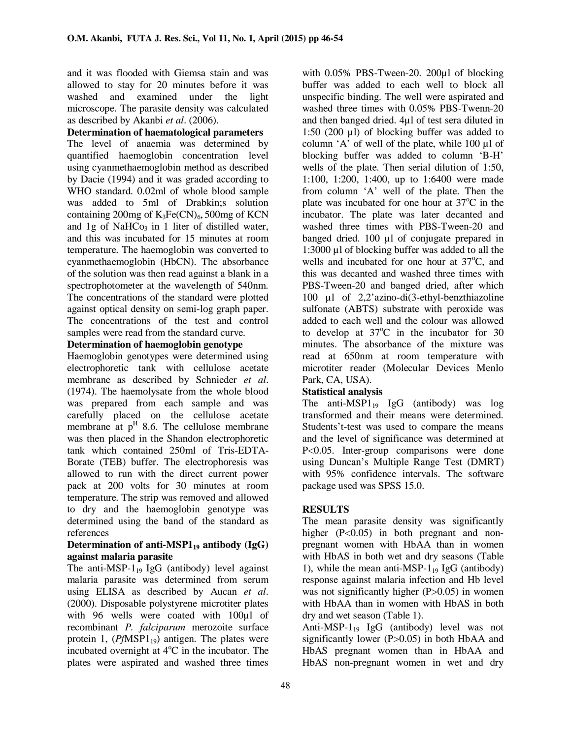and it was flooded with Giemsa stain and was allowed to stay for 20 minutes before it was washed and examined under the light microscope. The parasite density was calculated as described by Akanbi *et al*. (2006).

#### **Determination of haematological parameters**

The level of anaemia was determined by quantified haemoglobin concentration level using cyanmethaemoglobin method as described by Dacie (1994) and it was graded according to WHO standard. 0.02ml of whole blood sample was added to 5ml of Drabkin;s solution containing 200mg of  $K_3Fe(CN)_6$ , 500mg of KCN and 1g of  $NAHCo<sub>3</sub>$  in 1 liter of distilled water, and this was incubated for 15 minutes at room temperature. The haemoglobin was converted to cyanmethaemoglobin (HbCN). The absorbance of the solution was then read against a blank in a spectrophotometer at the wavelength of 540nm. The concentrations of the standard were plotted against optical density on semi-log graph paper. The concentrations of the test and control samples were read from the standard curve.

### **Determination of haemoglobin genotype**

Haemoglobin genotypes were determined using electrophoretic tank with cellulose acetate membrane as described by Schnieder *et al*. (1974). The haemolysate from the whole blood was prepared from each sample and was carefully placed on the cellulose acetate membrane at  $p<sup>H</sup>$  8.6. The cellulose membrane was then placed in the Shandon electrophoretic tank which contained 250ml of Tris-EDTA-Borate (TEB) buffer. The electrophoresis was allowed to run with the direct current power pack at 200 volts for 30 minutes at room temperature. The strip was removed and allowed to dry and the haemoglobin genotype was determined using the band of the standard as references

#### **Determination of anti-MSP119 antibody (IgG) against malaria parasite**

The anti-MSP- $1_{19}$  IgG (antibody) level against malaria parasite was determined from serum using ELISA as described by Aucan *et al*. (2000). Disposable polystyrene microtiter plates with 96 wells were coated with 100µl of recombinant *P. falciparum* merozoite surface protein 1,  $(PfMSP1_{19})$  antigen. The plates were incubated overnight at  $4^{\circ}$ C in the incubator. The plates were aspirated and washed three times

with 0.05% PBS-Tween-20. 200µl of blocking buffer was added to each well to block all unspecific binding. The well were aspirated and washed three times with 0.05% PBS-Twenn-20 and then banged dried. 4µl of test sera diluted in 1:50 (200 µl) of blocking buffer was added to column 'A' of well of the plate, while  $100 \mu l$  of blocking buffer was added to column 'B-H' wells of the plate. Then serial dilution of 1:50, 1:100, 1:200, 1:400, up to 1:6400 were made from column 'A' well of the plate. Then the plate was incubated for one hour at  $37^{\circ}$ C in the incubator. The plate was later decanted and washed three times with PBS-Tween-20 and banged dried. 100 µl of conjugate prepared in 1:3000 µl of blocking buffer was added to all the wells and incubated for one hour at  $37^{\circ}$ C, and this was decanted and washed three times with PBS-Tween-20 and banged dried, after which 100 µl of 2,2'azino-di(3-ethyl-benzthiazoline sulfonate (ABTS) substrate with peroxide was added to each well and the colour was allowed to develop at  $37^{\circ}$ C in the incubator for 30 minutes. The absorbance of the mixture was read at 650nm at room temperature with microtiter reader (Molecular Devices Menlo Park, CA, USA).

## **Statistical analysis**

The anti-MSP $1_{19}$  IgG (antibody) was log transformed and their means were determined. Students't-test was used to compare the means and the level of significance was determined at P<0.05. Inter-group comparisons were done using Duncan's Multiple Range Test (DMRT) with 95% confidence intervals. The software package used was SPSS 15.0.

## **RESULTS**

The mean parasite density was significantly higher (P<0.05) in both pregnant and nonpregnant women with HbAA than in women with HbAS in both wet and dry seasons (Table 1), while the mean anti-MSP- $1_{19}$  IgG (antibody) response against malaria infection and Hb level was not significantly higher  $(P>0.05)$  in women with HbAA than in women with HbAS in both dry and wet season (Table 1).

Anti-MSP- $1_{19}$  IgG (antibody) level was not significantly lower (P>0.05) in both HbAA and HbAS pregnant women than in HbAA and HbAS non-pregnant women in wet and dry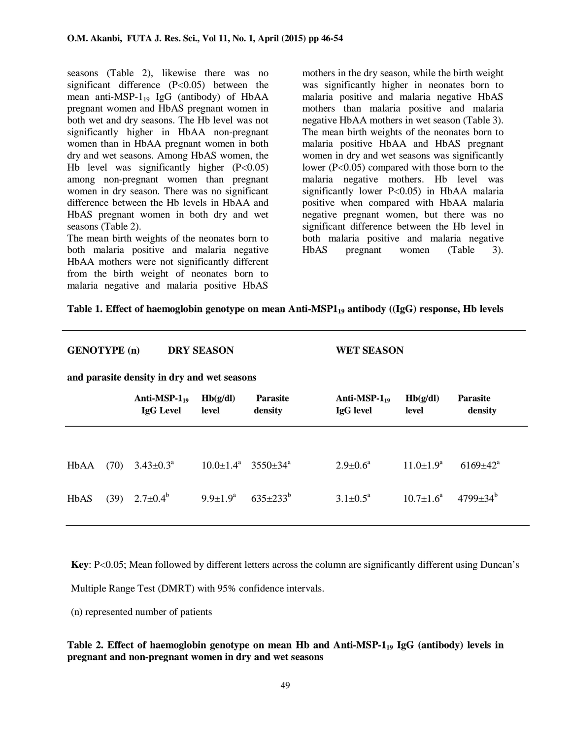seasons (Table 2), likewise there was no significant difference (P<0.05) between the mean anti-MSP- $1_{19}$  IgG (antibody) of HbAA pregnant women and HbAS pregnant women in both wet and dry seasons. The Hb level was not significantly higher in HbAA non-pregnant women than in HbAA pregnant women in both dry and wet seasons. Among HbAS women, the Hb level was significantly higher  $(P<0.05)$ among non-pregnant women than pregnant women in dry season. There was no significant difference between the Hb levels in HbAA and HbAS pregnant women in both dry and wet seasons (Table 2).

The mean birth weights of the neonates born to both malaria positive and malaria negative HbAA mothers were not significantly different from the birth weight of neonates born to malaria negative and malaria positive HbAS

mothers in the dry season, while the birth weight was significantly higher in neonates born to malaria positive and malaria negative HbAS mothers than malaria positive and malaria negative HbAA mothers in wet season (Table 3). The mean birth weights of the neonates born to malaria positive HbAA and HbAS pregnant women in dry and wet seasons was significantly lower (P<0.05) compared with those born to the malaria negative mothers. Hb level was significantly lower P<0.05) in HbAA malaria positive when compared with HbAA malaria negative pregnant women, but there was no significant difference between the Hb level in both malaria positive and malaria negative HbAS pregnant women (Table 3).

#### **Table 1. Effect of haemoglobin genotype on mean Anti-MSP119 antibody ((IgG) response, Hb levels**

| <b>DRY SEASON</b><br><b>GENOTYPE</b> (n)<br><b>WET SEASON</b><br>and parasite density in dry and wet seasons |      |                                        |                            |                            |                                        |                        |                            |  |
|--------------------------------------------------------------------------------------------------------------|------|----------------------------------------|----------------------------|----------------------------|----------------------------------------|------------------------|----------------------------|--|
|                                                                                                              |      | Anti-MSP- $1_{19}$<br><b>IgG</b> Level | Hb(g/dl)<br>level          | <b>Parasite</b><br>density | Anti-MSP- $1_{19}$<br><b>IgG</b> level | Hb(g/dl)<br>level      | <b>Parasite</b><br>density |  |
|                                                                                                              |      |                                        |                            |                            |                                        |                        |                            |  |
| HbAA                                                                                                         | (70) | $3.43 \pm 0.3^{\text{a}}$              | $10.0+1.4^a$               | $3550 \pm 34^{\circ}$      | $2.9 \pm 0.6^{\circ}$                  | $11.0+1.9a$            | $6169 \pm 42^{\text{a}}$   |  |
| HbAS                                                                                                         | (39) | $2.7 \pm 0.4^{\circ}$                  | $9.9 \pm 1.9^{\mathrm{a}}$ | $635 \pm 233^{\rm b}$      | $3.1 \pm 0.5^{\text{a}}$               | $10.7 \pm 1.6^{\circ}$ | $4799 \pm 34^b$            |  |

**Key**: P<0.05; Mean followed by different letters across the column are significantly different using Duncan's

Multiple Range Test (DMRT) with 95% confidence intervals.

(n) represented number of patients

**Table 2. Effect of haemoglobin genotype on mean Hb and Anti-MSP-1<sup>19</sup> IgG (antibody) levels in pregnant and non-pregnant women in dry and wet seasons**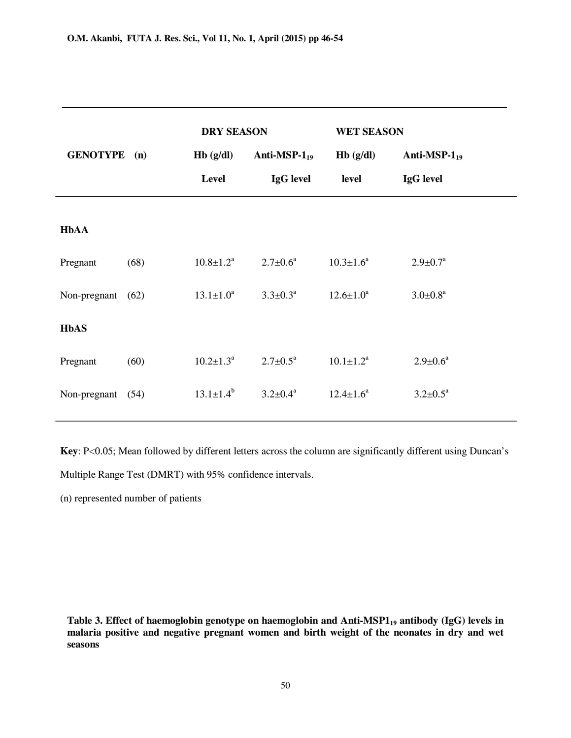|              |      | <b>DRY SEASON</b>      |                            | <b>WET SEASON</b> |                          |
|--------------|------|------------------------|----------------------------|-------------------|--------------------------|
| GENOTYPE (n) |      | Hb(g/dl)               | Anti-MSP- $1_{19}$         | Hb(g/dl)          | Anti-MSP- $1_{19}$       |
|              |      | Level                  | IgG level                  | level             | IgG level                |
|              |      |                        |                            |                   |                          |
| <b>HbAA</b>  |      |                        |                            |                   |                          |
| Pregnant     | (68) | $10.8 \pm 1.2^a$       | $2.7 \pm 0.6^{\mathrm{a}}$ | $10.3 \pm 1.6^a$  | $2.9 \pm 0.7^{\text{a}}$ |
| Non-pregnant | (62) | $13.1 \pm 1.0^a$       | $3.3 \pm 0.3^{\text{a}}$   | $12.6 \pm 1.0^a$  | $3.0 \pm 0.8^a$          |
| <b>HbAS</b>  |      |                        |                            |                   |                          |
|              |      |                        |                            |                   |                          |
| Pregnant     | (60) | $10.2 \pm 1.3^{\circ}$ | $2.7 \pm 0.5^{\text{a}}$   | $10.1 \pm 1.2^a$  | $2.9 \pm 0.6^a$          |
| Non-pregnant | (54) | $13.1 \pm 1.4^b$       | $3.2 \pm 0.4^a$            | $12.4 \pm 1.6^a$  | $3.2 \pm 0.5^a$          |
|              |      |                        |                            |                   |                          |

**Key**: P<0.05; Mean followed by different letters across the column are significantly different using Duncan's

Multiple Range Test (DMRT) with 95% confidence intervals.

(n) represented number of patients

**Table 3. Effect of haemoglobin genotype on haemoglobin and Anti-MSP119 antibody (IgG) levels in malaria positive and negative pregnant women and birth weight of the neonates in dry and wet seasons**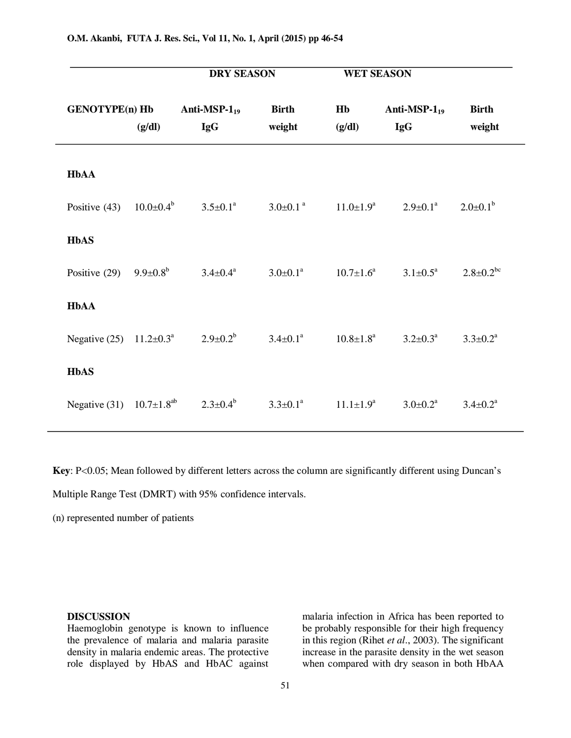|                                      |                        | <b>DRY SEASON</b>                |                            | <b>WET SEASON</b>           |                                  |                             |
|--------------------------------------|------------------------|----------------------------------|----------------------------|-----------------------------|----------------------------------|-----------------------------|
| <b>GENOTYPE(n) Hb</b>                | (g/dl)                 | Anti-MSP- $1_{19}$<br><b>IgG</b> | <b>Birth</b><br>weight     | Hb<br>(g/dl)                | Anti-MSP- $1_{19}$<br><b>IgG</b> | <b>Birth</b><br>weight      |
| <b>HbAA</b>                          |                        |                                  |                            |                             |                                  |                             |
| Positive $(43)$                      | $10.0 \pm 0.4^{\circ}$ | $3.5 \pm 0.1^{\circ}$            | $3.0 \pm 0.1$ <sup>a</sup> | $11.0 \pm 1.9^{\rm a}$      | $2.9 \pm 0.1^{\text{a}}$         | $2.0 \pm 0.1^b$             |
| <b>HbAS</b>                          |                        |                                  |                            |                             |                                  |                             |
| Positive (29) $9.9 \pm 0.8^b$        |                        | $3.4 \pm 0.4^{\rm a}$            | $3.0 \pm 0.1^a$            | $10.7 \pm 1.6^{\mathrm{a}}$ | $3.1 \pm 0.5^{\text{a}}$         | $2.8 \pm 0.2$ <sup>bc</sup> |
| <b>HbAA</b>                          |                        |                                  |                            |                             |                                  |                             |
| Negative (25) $11.2 \pm 0.3^{\circ}$ |                        | $2.9 \pm 0.2^b$                  | $3.4 \pm 0.1^a$            | $10.8 \pm 1.8^{\rm a}$      | $3.2 \pm 0.3^{\circ}$            | $3.3 \pm 0.2^{\text{a}}$    |
| <b>HbAS</b>                          |                        |                                  |                            |                             |                                  |                             |
| Negative (31) $10.7 \pm 1.8^{ab}$    |                        | $2.3 \pm 0.4^b$                  | $3.3 \pm 0.1^a$            | $11.1 \pm 1.9^a$            | $3.0 \pm 0.2^a$                  | $3.4 \pm 0.2^{\text{a}}$    |

**Key**: P<0.05; Mean followed by different letters across the column are significantly different using Duncan's

Multiple Range Test (DMRT) with 95% confidence intervals.

(n) represented number of patients

#### **DISCUSSION**

Haemoglobin genotype is known to influence the prevalence of malaria and malaria parasite density in malaria endemic areas. The protective role displayed by HbAS and HbAC against

malaria infection in Africa has been reported to be probably responsible for their high frequency in this region (Rihet *et al*., 2003). The significant increase in the parasite density in the wet season when compared with dry season in both HbAA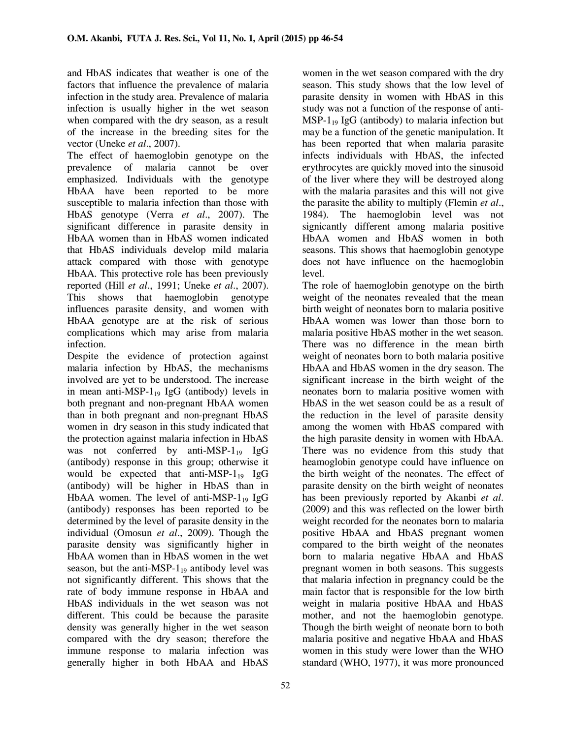and HbAS indicates that weather is one of the factors that influence the prevalence of malaria infection in the study area. Prevalence of malaria infection is usually higher in the wet season when compared with the dry season, as a result of the increase in the breeding sites for the vector (Uneke *et al*., 2007).

The effect of haemoglobin genotype on the prevalence of malaria cannot be over emphasized. Individuals with the genotype HbAA have been reported to be more susceptible to malaria infection than those with HbAS genotype (Verra *et al*., 2007). The significant difference in parasite density in HbAA women than in HbAS women indicated that HbAS individuals develop mild malaria attack compared with those with genotype HbAA. This protective role has been previously reported (Hill *et al*., 1991; Uneke *et al*., 2007). This shows that haemoglobin genotype influences parasite density, and women with HbAA genotype are at the risk of serious complications which may arise from malaria infection.

Despite the evidence of protection against malaria infection by HbAS, the mechanisms involved are yet to be understood. The increase in mean anti-MSP- $1_{19}$  IgG (antibody) levels in both pregnant and non-pregnant HbAA women than in both pregnant and non-pregnant HbAS women in dry season in this study indicated that the protection against malaria infection in HbAS was not conferred by anti-MSP-1 $_{19}$  IgG (antibody) response in this group; otherwise it would be expected that anti-MSP- $1_{19}$  IgG (antibody) will be higher in HbAS than in HbAA women. The level of anti-MSP- $1_{19}$  IgG (antibody) responses has been reported to be determined by the level of parasite density in the individual (Omosun *et al*., 2009). Though the parasite density was significantly higher in HbAA women than in HbAS women in the wet season, but the anti-MSP- $1_{19}$  antibody level was not significantly different. This shows that the rate of body immune response in HbAA and HbAS individuals in the wet season was not different. This could be because the parasite density was generally higher in the wet season compared with the dry season; therefore the immune response to malaria infection was generally higher in both HbAA and HbAS

women in the wet season compared with the dry season. This study shows that the low level of parasite density in women with HbAS in this study was not a function of the response of anti- $MSP-1_{19}$  IgG (antibody) to malaria infection but may be a function of the genetic manipulation. It has been reported that when malaria parasite infects individuals with HbAS, the infected erythrocytes are quickly moved into the sinusoid of the liver where they will be destroyed along with the malaria parasites and this will not give the parasite the ability to multiply (Flemin *et al*., 1984). The haemoglobin level was not signicantly different among malaria positive HbAA women and HbAS women in both seasons. This shows that haemoglobin genotype does not have influence on the haemoglobin level.

The role of haemoglobin genotype on the birth weight of the neonates revealed that the mean birth weight of neonates born to malaria positive HbAA women was lower than those born to malaria positive HbAS mother in the wet season. There was no difference in the mean birth weight of neonates born to both malaria positive HbAA and HbAS women in the dry season. The significant increase in the birth weight of the neonates born to malaria positive women with HbAS in the wet season could be as a result of the reduction in the level of parasite density among the women with HbAS compared with the high parasite density in women with HbAA. There was no evidence from this study that heamoglobin genotype could have influence on the birth weight of the neonates. The effect of parasite density on the birth weight of neonates has been previously reported by Akanbi *et al*. (2009) and this was reflected on the lower birth weight recorded for the neonates born to malaria positive HbAA and HbAS pregnant women compared to the birth weight of the neonates born to malaria negative HbAA and HbAS pregnant women in both seasons. This suggests that malaria infection in pregnancy could be the main factor that is responsible for the low birth weight in malaria positive HbAA and HbAS mother, and not the haemoglobin genotype. Though the birth weight of neonate born to both malaria positive and negative HbAA and HbAS women in this study were lower than the WHO standard (WHO, 1977), it was more pronounced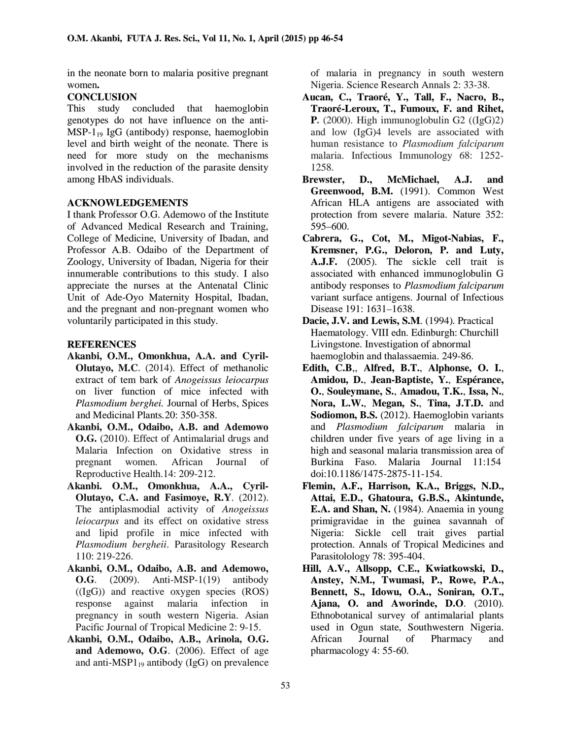in the neonate born to malaria positive pregnant women**.** 

### **CONCLUSION**

This study concluded that haemoglobin genotypes do not have influence on the anti- $MSP-1_{19}$  IgG (antibody) response, haemoglobin level and birth weight of the neonate. There is need for more study on the mechanisms involved in the reduction of the parasite density among HbAS individuals.

### **ACKNOWLEDGEMENTS**

I thank Professor O.G. Ademowo of the Institute of Advanced Medical Research and Training, College of Medicine, University of Ibadan, and Professor A.B. Odaibo of the Department of Zoology, University of Ibadan, Nigeria for their innumerable contributions to this study. I also appreciate the nurses at the Antenatal Clinic Unit of Ade-Oyo Maternity Hospital, Ibadan, and the pregnant and non-pregnant women who voluntarily participated in this study.

### **REFERENCES**

- **Akanbi, O.M., Omonkhua, A.A. and Cyril-Olutayo, M.C**. (2014). Effect of methanolic extract of tem bark of *Anogeissus leiocarpus* on liver function of mice infected with *Plasmodium berghei.* Journal of Herbs, Spices and Medicinal Plants*.*20: 350-358.
- **Akanbi, O.M., Odaibo, A.B. and Ademowo O.G.** (2010). Effect of Antimalarial drugs and Malaria Infection on Oxidative stress in pregnant women. African Journal of Reproductive Health.14: 209-212.
- **Akanbi. O.M., Omonkhua, A.A., Cyril-Olutayo, C.A. and Fasimoye, R.Y**. (2012). The antiplasmodial activity of *Anogeissus leiocarpus* and its effect on oxidative stress and lipid profile in mice infected with *Plasmodium bergheii*. Parasitology Research 110: 219-226.
- **Akanbi, O.M., Odaibo, A.B. and Ademowo, O.G**. (2009). Anti-MSP-1(19) antibody  $((IgG))$  and reactive oxygen species  $(ROS)$ response against malaria infection in pregnancy in south western Nigeria. Asian Pacific Journal of Tropical Medicine 2: 9-15.
- **Akanbi, O.M., Odaibo, A.B., Arinola, O.G. and Ademowo, O.G**. (2006). Effect of age and anti-MSP $1_{19}$  antibody (IgG) on prevalence

of malaria in pregnancy in south western Nigeria. Science Research Annals 2: 33-38.

- **Aucan, C., Traoré, Y., Tall, F., Nacro, B., Traoré-Leroux, T., Fumoux, F. and Rihet, P.** (2000). High immunoglobulin  $G2$  (( $IgG$ )2) and low (IgG)4 levels are associated with human resistance to *Plasmodium falciparum*  malaria. Infectious Immunology 68: 1252- 1258.
- **Brewster, D., McMichael, A.J. and Greenwood, B.M.** (1991). Common West African HLA antigens are associated with protection from severe malaria. Nature 352: 595–600.
- **Cabrera, G., Cot, M., Migot-Nabias, F., Kremsner, P.G., Deloron, P. and Luty, A.J.F.** (2005). The sickle cell trait is associated with enhanced immunoglobulin G antibody responses to *Plasmodium falciparum* variant surface antigens. Journal of Infectious Disease 191: 1631–1638.
- **Dacie, J.V. and Lewis, S.M**. (1994). Practical Haematology. VIII edn. Edinburgh: Churchill Livingstone. Investigation of abnormal haemoglobin and thalassaemia. 249-86.
- **Edith, C.B**,, **Alfred, B.T.**, **Alphonse, O. I.**, **Amidou, D.**, **Jean-Baptiste, Y.**, **Espérance, O.**, **Souleymane, S.**, **Amadou, T.K.**, **Issa, N.**, **Nora, L.W.**, **Megan, S.**, **Tina, J.T.D.** and **Sodiomon, B.S.** (2012). Haemoglobin variants and *Plasmodium falciparum* malaria in children under five years of age living in a high and seasonal malaria transmission area of Burkina Faso. Malaria Journal 11:154 doi:10.1186/1475-2875-11-154.
- **Flemin, A.F., Harrison, K.A., Briggs, N.D., Attai, E.D., Ghatoura, G.B.S., Akintunde, E.A. and Shan, N.** (1984). Anaemia in young primigravidae in the guinea savannah of Nigeria: Sickle cell trait gives partial protection. Annals of Tropical Medicines and Parasitolology 78: 395-404.
- **Hill, A.V., Allsopp, C.E., Kwiatkowski, D., Anstey, N.M., Twumasi, P., Rowe, P.A., Bennett, S., Idowu, O.A., Soniran, O.T., Ajana, O. and Aworinde, D.O**. (2010). Ethnobotanical survey of antimalarial plants used in Ogun state, Southwestern Nigeria. African Journal of Pharmacy and pharmacology 4: 55-60.